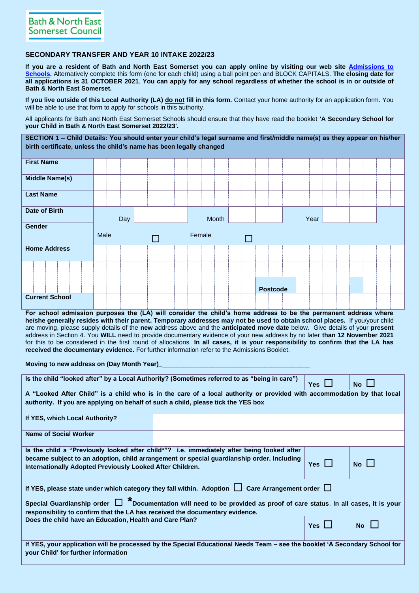## **SECONDARY TRANSFER AND YEAR 10 INTAKE 2022/23**

**If you are a resident of Bath and North East Somerset you can apply online by visiting our web site [Admissions to](https://beta.bathnes.gov.uk/school-admissions)  [Schools.](https://beta.bathnes.gov.uk/school-admissions)** Alternatively complete this form (one for each child) using a ball point pen and BLOCK CAPITALS. **The closing date for all applications is 31 OCTOBER 2021**. **You can apply for any school regardless of whether the school is in or outside of Bath & North East Somerset.**

**If you live outside of this Local Authority (LA) do not fill in this form.** Contact your home authority for an application form. You will be able to use that form to apply for schools in this authority.

All applicants for Bath and North East Somerset Schools should ensure that they have read the booklet **'A Secondary School for your Child in Bath & North East Somerset 2022/23'.** 

**SECTION 1 – Child Details: You should enter your child's legal surname and first/middle name(s) as they appear on his/her birth certificate, unless the child's name has been legally changed**

| <b>First Name</b>     |      |     |  |  |        |       |        |                 |  |      |  |  |  |
|-----------------------|------|-----|--|--|--------|-------|--------|-----------------|--|------|--|--|--|
| <b>Middle Name(s)</b> |      |     |  |  |        |       |        |                 |  |      |  |  |  |
| <b>Last Name</b>      |      |     |  |  |        |       |        |                 |  |      |  |  |  |
| <b>Date of Birth</b>  |      | Day |  |  |        | Month |        |                 |  | Year |  |  |  |
|                       |      |     |  |  |        |       |        |                 |  |      |  |  |  |
|                       |      |     |  |  |        |       |        |                 |  |      |  |  |  |
| Gender                | Male |     |  |  | Female |       | $\Box$ |                 |  |      |  |  |  |
| <b>Home Address</b>   |      |     |  |  |        |       |        |                 |  |      |  |  |  |
|                       |      |     |  |  |        |       |        |                 |  |      |  |  |  |
|                       |      |     |  |  |        |       |        | <b>Postcode</b> |  |      |  |  |  |

**For school admission purposes the (LA) will consider the child's home address to be the permanent address where he/she generally resides with their parent. Temporary addresses may not be used to obtain school places.** If you/your child are moving, please supply details of the **new** address above and the **anticipated move date** below. Give details of your **present**  address in Section 4. You **WILL** need to provide documentary evidence of your new address by no later **than 12 November 2021** for this to be considered in the first round of allocations. **In all cases, it is your responsibility to confirm that the LA has received the documentary evidence.** For further information refer to the Admissions Booklet.

**Moving to new address on (Day Month Year)** 

|                                                                                   | Is the child "looked after" by a Local Authority? (Sometimes referred to as "being in care")                                | <b>Yes</b>    | <b>No</b>   |  |  |  |  |  |  |  |  |  |  |
|-----------------------------------------------------------------------------------|-----------------------------------------------------------------------------------------------------------------------------|---------------|-------------|--|--|--|--|--|--|--|--|--|--|
|                                                                                   | A "Looked After Child" is a child who is in the care of a local authority or provided with accommodation by that local      |               |             |  |  |  |  |  |  |  |  |  |  |
| authority. If you are applying on behalf of such a child, please tick the YES box |                                                                                                                             |               |             |  |  |  |  |  |  |  |  |  |  |
|                                                                                   |                                                                                                                             |               |             |  |  |  |  |  |  |  |  |  |  |
| If YES, which Local Authority?                                                    |                                                                                                                             |               |             |  |  |  |  |  |  |  |  |  |  |
| <b>Name of Social Worker</b>                                                      |                                                                                                                             |               |             |  |  |  |  |  |  |  |  |  |  |
|                                                                                   | Is the child a "Previously looked after child*"? i.e. immediately after being looked after                                  |               |             |  |  |  |  |  |  |  |  |  |  |
|                                                                                   | became subject to an adoption, child arrangement or special guardianship order. Including                                   |               |             |  |  |  |  |  |  |  |  |  |  |
| Internationally Adopted Previously Looked After Children.                         |                                                                                                                             | Yes $\Box$    | $No$ $\Box$ |  |  |  |  |  |  |  |  |  |  |
|                                                                                   |                                                                                                                             |               |             |  |  |  |  |  |  |  |  |  |  |
|                                                                                   |                                                                                                                             |               |             |  |  |  |  |  |  |  |  |  |  |
|                                                                                   | If YES, please state under which category they fall within. Adoption $\Box$ Care Arrangement order $\Box$                   |               |             |  |  |  |  |  |  |  |  |  |  |
|                                                                                   |                                                                                                                             |               |             |  |  |  |  |  |  |  |  |  |  |
|                                                                                   | Special Guardianship order $\Box$ *Documentation will need to be provided as proof of care status. In all cases, it is your |               |             |  |  |  |  |  |  |  |  |  |  |
| responsibility to confirm that the LA has received the documentary evidence.      |                                                                                                                             |               |             |  |  |  |  |  |  |  |  |  |  |
| Does the child have an Education, Health and Care Plan?                           |                                                                                                                             |               |             |  |  |  |  |  |  |  |  |  |  |
|                                                                                   |                                                                                                                             | $Yes$ $\vert$ | <b>No</b>   |  |  |  |  |  |  |  |  |  |  |
|                                                                                   |                                                                                                                             |               |             |  |  |  |  |  |  |  |  |  |  |
|                                                                                   | If YES, your application will be processed by the Special Educational Needs Team – see the booklet 'A Secondary School for  |               |             |  |  |  |  |  |  |  |  |  |  |
| your Child' for further information                                               |                                                                                                                             |               |             |  |  |  |  |  |  |  |  |  |  |
|                                                                                   |                                                                                                                             |               |             |  |  |  |  |  |  |  |  |  |  |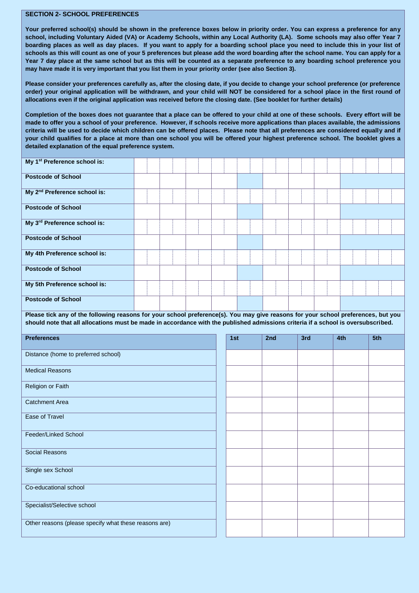## **SECTION 2- SCHOOL PREFERENCES**

**Your preferred school(s) should be shown in the preference boxes below in priority order. You can express a preference for any school, including Voluntary Aided (VA) or Academy Schools, within any Local Authority (LA). Some schools may also offer Year 7 boarding places as well as day places. If you want to apply for a boarding school place you need to include this in your list of schools as this will count as one of your 5 preferences but please add the word boarding after the school name. You can apply for a Year 7 day place at the same school but as this will be counted as a separate preference to any boarding school preference you may have made it is very important that you list them in your priority order (see also Section 3).**

**Please consider your preferences carefully as, after the closing date, if you decide to change your school preference (or preference order) your original application will be withdrawn, and your child will NOT be considered for a school place in the first round of allocations even if the original application was received before the closing date. (See booklet for further details)**

**Completion of the boxes does not guarantee that a place can be offered to your child at one of these schools. Every effort will be made to offer you a school of your preference. However, if schools receive more applications than places available, the admissions criteria will be used to decide which children can be offered places. Please note that all preferences are considered equally and if your child qualifies for a place at more than one school you will be offered your highest preference school. The booklet gives a detailed explanation of the equal preference system.**

| My 1 <sup>st</sup> Preference school is:                                                                                                                                                                                                                               |  |  |     |     |     |     |     |  |
|------------------------------------------------------------------------------------------------------------------------------------------------------------------------------------------------------------------------------------------------------------------------|--|--|-----|-----|-----|-----|-----|--|
| <b>Postcode of School</b>                                                                                                                                                                                                                                              |  |  |     |     |     |     |     |  |
| My 2 <sup>nd</sup> Preference school is:                                                                                                                                                                                                                               |  |  |     |     |     |     |     |  |
| <b>Postcode of School</b>                                                                                                                                                                                                                                              |  |  |     |     |     |     |     |  |
| My 3rd Preference school is:                                                                                                                                                                                                                                           |  |  |     |     |     |     |     |  |
| <b>Postcode of School</b>                                                                                                                                                                                                                                              |  |  |     |     |     |     |     |  |
| My 4th Preference school is:                                                                                                                                                                                                                                           |  |  |     |     |     |     |     |  |
| <b>Postcode of School</b>                                                                                                                                                                                                                                              |  |  |     |     |     |     |     |  |
| My 5th Preference school is:                                                                                                                                                                                                                                           |  |  |     |     |     |     |     |  |
| <b>Postcode of School</b>                                                                                                                                                                                                                                              |  |  |     |     |     |     |     |  |
| Please tick any of the following reasons for your school preference(s). You may give reasons for your school preferences, but you<br>should note that all allocations must be made in accordance with the published admissions criteria if a school is oversubscribed. |  |  |     |     |     |     |     |  |
|                                                                                                                                                                                                                                                                        |  |  |     |     |     |     |     |  |
|                                                                                                                                                                                                                                                                        |  |  |     |     |     |     |     |  |
| <b>Preferences</b>                                                                                                                                                                                                                                                     |  |  | 1st | 2nd | 3rd | 4th | 5th |  |
| Distance (home to preferred school)                                                                                                                                                                                                                                    |  |  |     |     |     |     |     |  |
| <b>Medical Reasons</b>                                                                                                                                                                                                                                                 |  |  |     |     |     |     |     |  |
| Religion or Faith                                                                                                                                                                                                                                                      |  |  |     |     |     |     |     |  |
| <b>Catchment Area</b>                                                                                                                                                                                                                                                  |  |  |     |     |     |     |     |  |
| <b>Ease of Travel</b>                                                                                                                                                                                                                                                  |  |  |     |     |     |     |     |  |
| Feeder/Linked School                                                                                                                                                                                                                                                   |  |  |     |     |     |     |     |  |
| <b>Social Reasons</b>                                                                                                                                                                                                                                                  |  |  |     |     |     |     |     |  |
| Single sex School                                                                                                                                                                                                                                                      |  |  |     |     |     |     |     |  |
|                                                                                                                                                                                                                                                                        |  |  |     |     |     |     |     |  |
| Co-educational school                                                                                                                                                                                                                                                  |  |  |     |     |     |     |     |  |
| Specialist/Selective school                                                                                                                                                                                                                                            |  |  |     |     |     |     |     |  |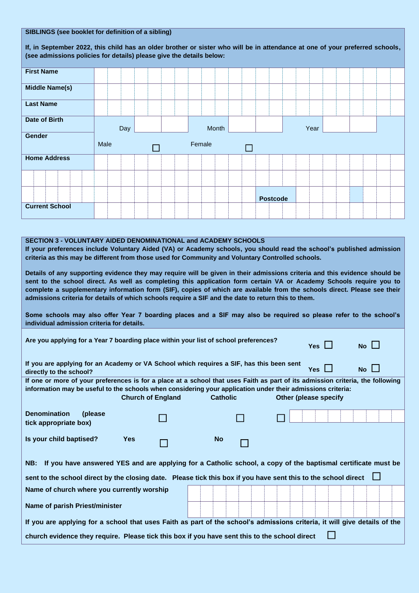|                                                                                                                                                                                                                                                                                                     | SIBLINGS (see booklet for definition of a sibling) |  |     |  |  |  |  |  |        |       |  |  |  |                 |  |      |  |  |  |  |
|-----------------------------------------------------------------------------------------------------------------------------------------------------------------------------------------------------------------------------------------------------------------------------------------------------|----------------------------------------------------|--|-----|--|--|--|--|--|--------|-------|--|--|--|-----------------|--|------|--|--|--|--|
| If, in September 2022, this child has an older brother or sister who will be in attendance at one of your preferred schools,<br>(see admissions policies for details) please give the details below:                                                                                                |                                                    |  |     |  |  |  |  |  |        |       |  |  |  |                 |  |      |  |  |  |  |
|                                                                                                                                                                                                                                                                                                     |                                                    |  |     |  |  |  |  |  |        |       |  |  |  |                 |  |      |  |  |  |  |
| <b>First Name</b>                                                                                                                                                                                                                                                                                   |                                                    |  |     |  |  |  |  |  |        |       |  |  |  |                 |  |      |  |  |  |  |
| <b>Middle Name(s)</b>                                                                                                                                                                                                                                                                               |                                                    |  |     |  |  |  |  |  |        |       |  |  |  |                 |  |      |  |  |  |  |
| <b>Last Name</b>                                                                                                                                                                                                                                                                                    |                                                    |  |     |  |  |  |  |  |        |       |  |  |  |                 |  |      |  |  |  |  |
| Date of Birth                                                                                                                                                                                                                                                                                       |                                                    |  | Day |  |  |  |  |  |        | Month |  |  |  |                 |  | Year |  |  |  |  |
| Gender                                                                                                                                                                                                                                                                                              | Male                                               |  |     |  |  |  |  |  | Female |       |  |  |  |                 |  |      |  |  |  |  |
|                                                                                                                                                                                                                                                                                                     |                                                    |  |     |  |  |  |  |  |        |       |  |  |  |                 |  |      |  |  |  |  |
| <b>Home Address</b>                                                                                                                                                                                                                                                                                 |                                                    |  |     |  |  |  |  |  |        |       |  |  |  |                 |  |      |  |  |  |  |
|                                                                                                                                                                                                                                                                                                     |                                                    |  |     |  |  |  |  |  |        |       |  |  |  |                 |  |      |  |  |  |  |
|                                                                                                                                                                                                                                                                                                     |                                                    |  |     |  |  |  |  |  |        |       |  |  |  | <b>Postcode</b> |  |      |  |  |  |  |
| <b>Current School</b>                                                                                                                                                                                                                                                                               |                                                    |  |     |  |  |  |  |  |        |       |  |  |  |                 |  |      |  |  |  |  |
|                                                                                                                                                                                                                                                                                                     |                                                    |  |     |  |  |  |  |  |        |       |  |  |  |                 |  |      |  |  |  |  |
| <b>SECTION 3 - VOLUNTARY AIDED DENOMINATIONAL and ACADEMY SCHOOLS</b><br>If your preferences include Voluntary Aided (VA) or Academy schools, you should read the school's published admission<br>criteria as this may be different from those used for Community and Voluntary Controlled schools. |                                                    |  |     |  |  |  |  |  |        |       |  |  |  |                 |  |      |  |  |  |  |

**Details of any supporting evidence they may require will be given in their admissions criteria and this evidence should be sent to the school direct. As well as completing this application form certain VA or Academy Schools require you to complete a supplementary information form (SIF), copies of which are available from the schools direct. Please see their admissions criteria for details of which schools require a SIF and the date to return this to them.** 

**Some schools may also offer Year 7 boarding places and a SIF may also be required so please refer to the school's individual admission criteria for details.**

| Are you applying for a Year 7 boarding place within your list of school preferences?                                                                                                                                                          | Yes $\Box$               | $No \Box$       |                              |             |
|-----------------------------------------------------------------------------------------------------------------------------------------------------------------------------------------------------------------------------------------------|--------------------------|-----------------|------------------------------|-------------|
| If you are applying for an Academy or VA School which requires a SIF, has this been sent<br>directly to the school?                                                                                                                           |                          |                 | Yes $\Box$                   | $No$ $\Box$ |
| If one or more of your preferences is for a place at a school that uses Faith as part of its admission criteria, the following<br>information may be useful to the schools when considering your application under their admissions criteria: | <b>Church of England</b> | <b>Catholic</b> | <b>Other (please specify</b> |             |
| <b>Denomination</b><br>(please)<br>tick appropriate box)                                                                                                                                                                                      |                          |                 |                              |             |
| Is your child baptised?                                                                                                                                                                                                                       | <b>Yes</b>               | <b>No</b>       |                              |             |
| NB: If you have answered YES and are applying for a Catholic school, a copy of the baptismal certificate must be                                                                                                                              |                          |                 |                              |             |
| sent to the school direct by the closing date. Please tick this box if you have sent this to the school direct $\Box$                                                                                                                         |                          |                 |                              |             |
| Name of church where you currently worship                                                                                                                                                                                                    |                          |                 |                              |             |
| Name of parish Priest/minister                                                                                                                                                                                                                |                          |                 |                              |             |
| If you are applying for a school that uses Faith as part of the school's admissions criteria, it will give details of the                                                                                                                     |                          |                 |                              |             |
| church evidence they require. Please tick this box if you have sent this to the school direct                                                                                                                                                 |                          |                 |                              |             |